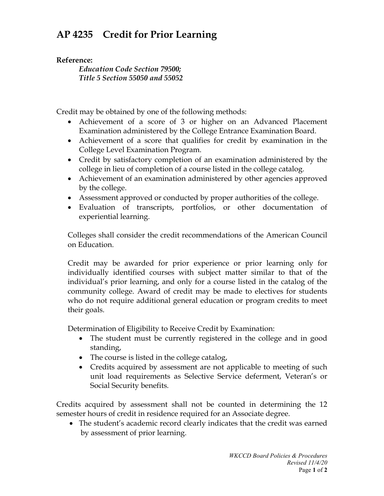## **AP 4235 Credit for Prior Learning**

## **Reference:**

*Education Code Section 79500; Title 5 Section 55050 and 55052*

Credit may be obtained by one of the following methods:

- Achievement of a score of 3 or higher on an Advanced Placement Examination administered by the College Entrance Examination Board.
- Achievement of a score that qualifies for credit by examination in the College Level Examination Program.
- Credit by satisfactory completion of an examination administered by the college in lieu of completion of a course listed in the college catalog.
- Achievement of an examination administered by other agencies approved by the college.
- Assessment approved or conducted by proper authorities of the college.
- Evaluation of transcripts, portfolios, or other documentation of experiential learning.

Colleges shall consider the credit recommendations of the American Council on Education.

Credit may be awarded for prior experience or prior learning only for individually identified courses with subject matter similar to that of the individual's prior learning, and only for a course listed in the catalog of the community college. Award of credit may be made to electives for students who do not require additional general education or program credits to meet their goals.

Determination of Eligibility to Receive Credit by Examination:

- The student must be currently registered in the college and in good standing,
- The course is listed in the college catalog,
- Credits acquired by assessment are not applicable to meeting of such unit load requirements as Selective Service deferment, Veteran's or Social Security benefits.

Credits acquired by assessment shall not be counted in determining the 12 semester hours of credit in residence required for an Associate degree.

• The student's academic record clearly indicates that the credit was earned by assessment of prior learning.